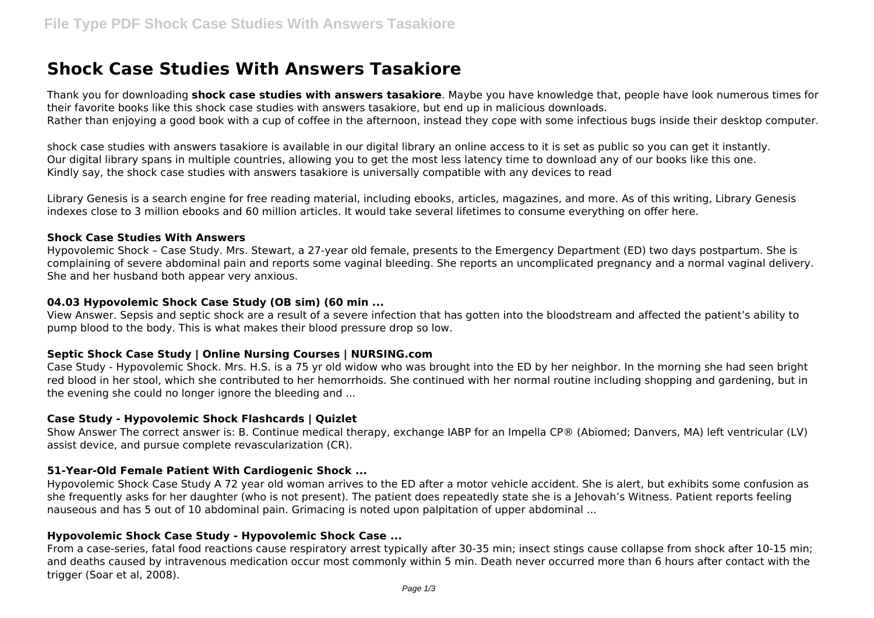# **Shock Case Studies With Answers Tasakiore**

Thank you for downloading **shock case studies with answers tasakiore**. Maybe you have knowledge that, people have look numerous times for their favorite books like this shock case studies with answers tasakiore, but end up in malicious downloads. Rather than enjoying a good book with a cup of coffee in the afternoon, instead they cope with some infectious bugs inside their desktop computer.

shock case studies with answers tasakiore is available in our digital library an online access to it is set as public so you can get it instantly. Our digital library spans in multiple countries, allowing you to get the most less latency time to download any of our books like this one. Kindly say, the shock case studies with answers tasakiore is universally compatible with any devices to read

Library Genesis is a search engine for free reading material, including ebooks, articles, magazines, and more. As of this writing, Library Genesis indexes close to 3 million ebooks and 60 million articles. It would take several lifetimes to consume everything on offer here.

#### **Shock Case Studies With Answers**

Hypovolemic Shock – Case Study. Mrs. Stewart, a 27-year old female, presents to the Emergency Department (ED) two days postpartum. She is complaining of severe abdominal pain and reports some vaginal bleeding. She reports an uncomplicated pregnancy and a normal vaginal delivery. She and her husband both appear very anxious.

#### **04.03 Hypovolemic Shock Case Study (OB sim) (60 min ...**

View Answer. Sepsis and septic shock are a result of a severe infection that has gotten into the bloodstream and affected the patient's ability to pump blood to the body. This is what makes their blood pressure drop so low.

## **Septic Shock Case Study | Online Nursing Courses | NURSING.com**

Case Study - Hypovolemic Shock. Mrs. H.S. is a 75 yr old widow who was brought into the ED by her neighbor. In the morning she had seen bright red blood in her stool, which she contributed to her hemorrhoids. She continued with her normal routine including shopping and gardening, but in the evening she could no longer ignore the bleeding and ...

## **Case Study - Hypovolemic Shock Flashcards | Quizlet**

Show Answer The correct answer is: B. Continue medical therapy, exchange IABP for an Impella CP® (Abiomed; Danvers, MA) left ventricular (LV) assist device, and pursue complete revascularization (CR).

## **51-Year-Old Female Patient With Cardiogenic Shock ...**

Hypovolemic Shock Case Study A 72 year old woman arrives to the ED after a motor vehicle accident. She is alert, but exhibits some confusion as she frequently asks for her daughter (who is not present). The patient does repeatedly state she is a Jehovah's Witness. Patient reports feeling nauseous and has 5 out of 10 abdominal pain. Grimacing is noted upon palpitation of upper abdominal ...

## **Hypovolemic Shock Case Study - Hypovolemic Shock Case ...**

From a case-series, fatal food reactions cause respiratory arrest typically after 30-35 min; insect stings cause collapse from shock after 10-15 min; and deaths caused by intravenous medication occur most commonly within 5 min. Death never occurred more than 6 hours after contact with the trigger (Soar et al, 2008).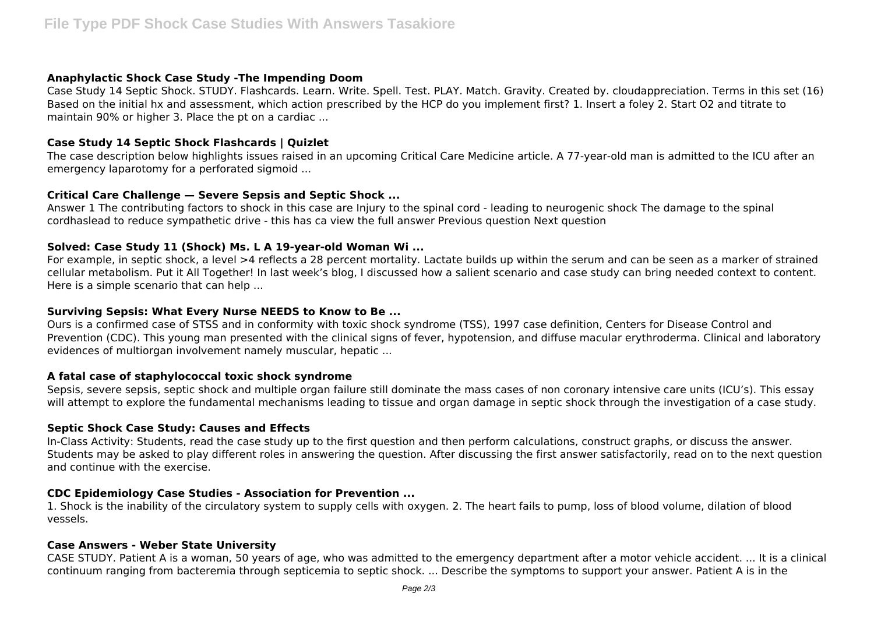# **Anaphylactic Shock Case Study -The Impending Doom**

Case Study 14 Septic Shock. STUDY. Flashcards. Learn. Write. Spell. Test. PLAY. Match. Gravity. Created by. cloudappreciation. Terms in this set (16) Based on the initial hx and assessment, which action prescribed by the HCP do you implement first? 1. Insert a foley 2. Start O2 and titrate to maintain 90% or higher 3. Place the pt on a cardiac ...

## **Case Study 14 Septic Shock Flashcards | Quizlet**

The case description below highlights issues raised in an upcoming Critical Care Medicine article. A 77-year-old man is admitted to the ICU after an emergency laparotomy for a perforated sigmoid ...

## **Critical Care Challenge — Severe Sepsis and Septic Shock ...**

Answer 1 The contributing factors to shock in this case are Injury to the spinal cord - leading to neurogenic shock The damage to the spinal cordhaslead to reduce sympathetic drive - this has ca view the full answer Previous question Next question

## **Solved: Case Study 11 (Shock) Ms. L A 19-year-old Woman Wi ...**

For example, in septic shock, a level >4 reflects a 28 percent mortality. Lactate builds up within the serum and can be seen as a marker of strained cellular metabolism. Put it All Together! In last week's blog, I discussed how a salient scenario and case study can bring needed context to content. Here is a simple scenario that can help ...

## **Surviving Sepsis: What Every Nurse NEEDS to Know to Be ...**

Ours is a confirmed case of STSS and in conformity with toxic shock syndrome (TSS), 1997 case definition, Centers for Disease Control and Prevention (CDC). This young man presented with the clinical signs of fever, hypotension, and diffuse macular erythroderma. Clinical and laboratory evidences of multiorgan involvement namely muscular, hepatic ...

## **A fatal case of staphylococcal toxic shock syndrome**

Sepsis, severe sepsis, septic shock and multiple organ failure still dominate the mass cases of non coronary intensive care units (ICU's). This essay will attempt to explore the fundamental mechanisms leading to tissue and organ damage in septic shock through the investigation of a case study.

## **Septic Shock Case Study: Causes and Effects**

In-Class Activity: Students, read the case study up to the first question and then perform calculations, construct graphs, or discuss the answer. Students may be asked to play different roles in answering the question. After discussing the first answer satisfactorily, read on to the next question and continue with the exercise.

# **CDC Epidemiology Case Studies - Association for Prevention ...**

1. Shock is the inability of the circulatory system to supply cells with oxygen. 2. The heart fails to pump, loss of blood volume, dilation of blood vessels.

## **Case Answers - Weber State University**

CASE STUDY. Patient A is a woman, 50 years of age, who was admitted to the emergency department after a motor vehicle accident. ... It is a clinical continuum ranging from bacteremia through septicemia to septic shock. ... Describe the symptoms to support your answer. Patient A is in the